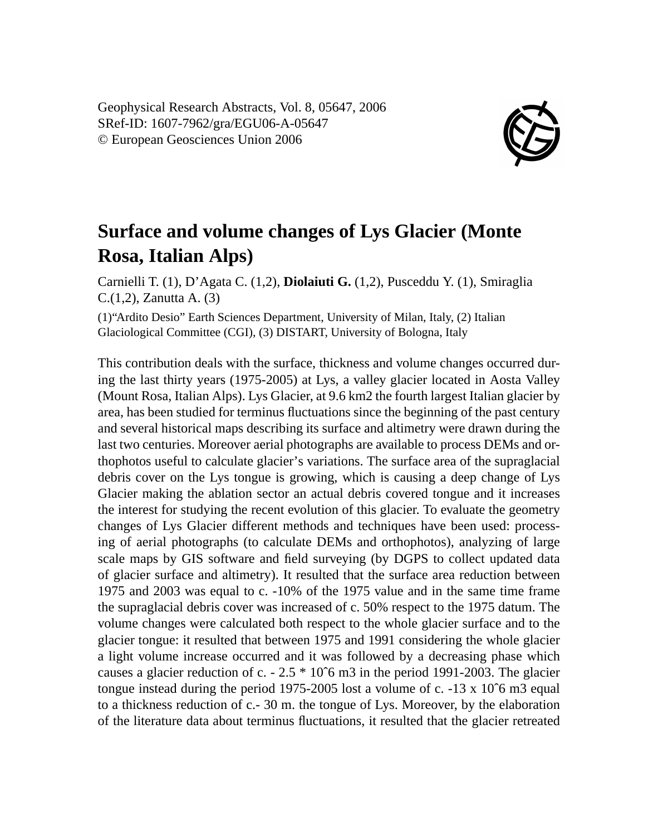Geophysical Research Abstracts, Vol. 8, 05647, 2006 SRef-ID: 1607-7962/gra/EGU06-A-05647 © European Geosciences Union 2006



## **Surface and volume changes of Lys Glacier (Monte Rosa, Italian Alps)**

Carnielli T. (1), D'Agata C. (1,2), **Diolaiuti G.** (1,2), Pusceddu Y. (1), Smiraglia C.(1,2), Zanutta A. (3)

(1)"Ardito Desio" Earth Sciences Department, University of Milan, Italy, (2) Italian Glaciological Committee (CGI), (3) DISTART, University of Bologna, Italy

This contribution deals with the surface, thickness and volume changes occurred during the last thirty years (1975-2005) at Lys, a valley glacier located in Aosta Valley (Mount Rosa, Italian Alps). Lys Glacier, at 9.6 km2 the fourth largest Italian glacier by area, has been studied for terminus fluctuations since the beginning of the past century and several historical maps describing its surface and altimetry were drawn during the last two centuries. Moreover aerial photographs are available to process DEMs and orthophotos useful to calculate glacier's variations. The surface area of the supraglacial debris cover on the Lys tongue is growing, which is causing a deep change of Lys Glacier making the ablation sector an actual debris covered tongue and it increases the interest for studying the recent evolution of this glacier. To evaluate the geometry changes of Lys Glacier different methods and techniques have been used: processing of aerial photographs (to calculate DEMs and orthophotos), analyzing of large scale maps by GIS software and field surveying (by DGPS to collect updated data of glacier surface and altimetry). It resulted that the surface area reduction between 1975 and 2003 was equal to c. -10% of the 1975 value and in the same time frame the supraglacial debris cover was increased of c. 50% respect to the 1975 datum. The volume changes were calculated both respect to the whole glacier surface and to the glacier tongue: it resulted that between 1975 and 1991 considering the whole glacier a light volume increase occurred and it was followed by a decreasing phase which causes a glacier reduction of c.  $-2.5 * 10^{\circ}$  m in the period 1991-2003. The glacier tongue instead during the period 1975-2005 lost a volume of c.  $-13 \times 10^{6}$  m3 equal to a thickness reduction of c.- 30 m. the tongue of Lys. Moreover, by the elaboration of the literature data about terminus fluctuations, it resulted that the glacier retreated